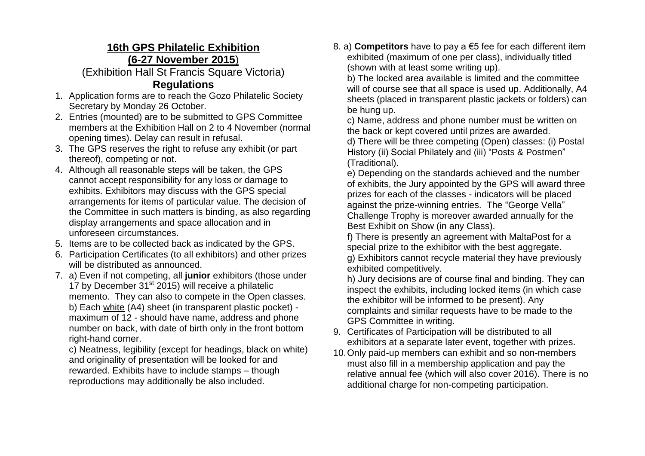## **16th GPS Philatelic Exhibition (6-27 November 2015**)

(Exhibition Hall St Francis Square Victoria)

## **Regulations**

- 1. Application forms are to reach the Gozo Philatelic Society Secretary by Monday 26 October.
- 2. Entries (mounted) are to be submitted to GPS Committee members at the Exhibition Hall on 2 to 4 November (normal opening times). Delay can result in refusal.
- 3. The GPS reserves the right to refuse any exhibit (or part thereof), competing or not.
- 4. Although all reasonable steps will be taken, the GPS cannot accept responsibility for any loss or damage to exhibits. Exhibitors may discuss with the GPS special arrangements for items of particular value. The decision of the Committee in such matters is binding, as also regarding display arrangements and space allocation and in unforeseen circumstances.
- 5. Items are to be collected back as indicated by the GPS.
- 6. Participation Certificates (to all exhibitors) and other prizes will be distributed as announced.
- 7. a) Even if not competing, all **junior** exhibitors (those under 17 by December  $31<sup>st</sup>$  2015) will receive a philatelic memento. They can also to compete in the Open classes. b) Each white (A4) sheet (in transparent plastic pocket) maximum of 12 - should have name, address and phone number on back, with date of birth only in the front bottom right-hand corner.

c) Neatness, legibility (except for headings, black on white) and originality of presentation will be looked for and rewarded. Exhibits have to include stamps – though reproductions may additionally be also included.

- 8. a) **Competitors** have to pay a €5 fee for each different item exhibited (maximum of one per class), individually titled (shown with at least some writing up).
	- b) The locked area available is limited and the committee will of course see that all space is used up. Additionally, A4 sheets (placed in transparent plastic jackets or folders) can be hung up.
	- c) Name, address and phone number must be written on the back or kept covered until prizes are awarded.
	- d) There will be three competing (Open) classes: (i) Postal History (ii) Social Philately and (iii) "Posts & Postmen" (Traditional).
	- e) Depending on the standards achieved and the number of exhibits, the Jury appointed by the GPS will award three prizes for each of the classes - indicators will be placed against the prize-winning entries. The "George Vella" Challenge Trophy is moreover awarded annually for the Best Exhibit on Show (in any Class).
	- f) There is presently an agreement with MaltaPost for a special prize to the exhibitor with the best aggregate.
	- g) Exhibitors cannot recycle material they have previously exhibited competitively.
	- h) Jury decisions are of course final and binding. They can inspect the exhibits, including locked items (in which case the exhibitor will be informed to be present). Any complaints and similar requests have to be made to the GPS Committee in writing.
- 9. Certificates of Participation will be distributed to all exhibitors at a separate later event, together with prizes.
- 10.Only paid-up members can exhibit and so non-members must also fill in a membership application and pay the relative annual fee (which will also cover 2016). There is no additional charge for non-competing participation.